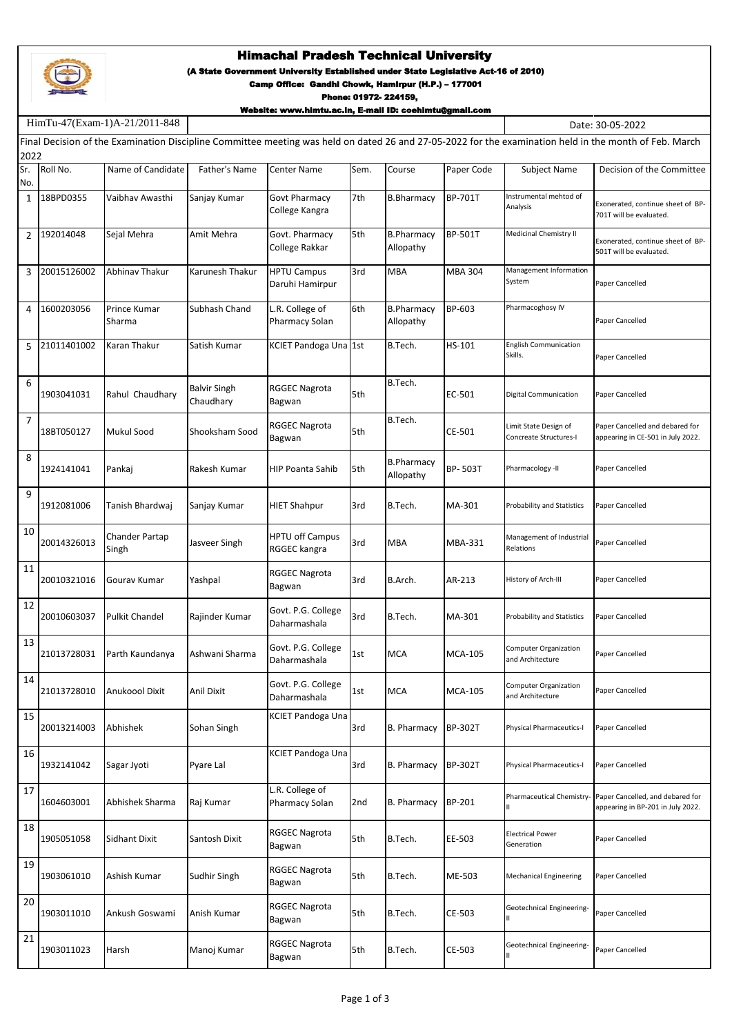

HimTu-47(Exam-1)A-21/2011-848

## Himachal Pradesh Technical University

(A State Government University Established under State Legislative Act-16 of 2010)

Camp Office: Gandhi Chowk, Hamirpur (H.P.) – 177001

Phone: 01972- 224159,

Website: www.himtu.ac.in, E-mail ID: coehimtu@gmail.com

Date: 30-05-2022

| Final Decision of the Examination Discipline Committee meeting was held on dated 26 and 27-05-2022 for the examination held in the month of Feb. March<br>2022 |             |                         |                                  |                                        |      |                                |                |                                                  |                                                                       |
|----------------------------------------------------------------------------------------------------------------------------------------------------------------|-------------|-------------------------|----------------------------------|----------------------------------------|------|--------------------------------|----------------|--------------------------------------------------|-----------------------------------------------------------------------|
| Sr.<br>No.                                                                                                                                                     | Roll No.    | Name of Candidate       | Father's Name                    | Center Name                            | Sem. | Course                         | Paper Code     | Subject Name                                     | Decision of the Committee                                             |
| 1                                                                                                                                                              | 18BPD0355   | Vaibhav Awasthi         | Sanjay Kumar                     | Govt Pharmacy<br>College Kangra        | 7th  | <b>B.Bharmacy</b>              | BP-701T        | Instrumental mehtod of<br>Analysis               | Exonerated, continue sheet of BP-<br>701T will be evaluated.          |
| 2                                                                                                                                                              | 192014048   | Sejal Mehra             | Amit Mehra                       | Govt. Pharmacy<br>College Rakkar       | 5th  | <b>B.Pharmacy</b><br>Allopathy | BP-501T        | Medicinal Chemistry II                           | Exonerated, continue sheet of BP-<br>501T will be evaluated.          |
| 3                                                                                                                                                              | 20015126002 | Abhinav Thakur          | Karunesh Thakur                  | <b>HPTU Campus</b><br>Daruhi Hamirpur  | 3rd  | <b>MBA</b>                     | <b>MBA 304</b> | Management Information<br>System                 | Paper Cancelled                                                       |
| 4                                                                                                                                                              | 1600203056  | Prince Kumar<br>Sharma  | Subhash Chand                    | L.R. College of<br>Pharmacy Solan      | 6th  | <b>B.Pharmacy</b><br>Allopathy | BP-603         | Pharmacoghosy IV                                 | Paper Cancelled                                                       |
| 5                                                                                                                                                              | 21011401002 | Karan Thakur            | Satish Kumar                     | KCIET Pandoga Una 1st                  |      | B.Tech.                        | HS-101         | <b>English Communication</b><br>Skills.          | Paper Cancelled                                                       |
| 6                                                                                                                                                              | 1903041031  | Rahul Chaudhary         | <b>Balvir Singh</b><br>Chaudhary | RGGEC Nagrota<br>Bagwan                | 5th  | B.Tech.                        | EC-501         | Digital Communication                            | Paper Cancelled                                                       |
| 7                                                                                                                                                              | 18BT050127  | Mukul Sood              | Shooksham Sood                   | <b>RGGEC Nagrota</b><br>Bagwan         | 5th  | B.Tech.                        | CE-501         | Limit State Design of<br>Concreate Structures-I  | Paper Cancelled and debared for<br>appearing in CE-501 in July 2022.  |
| 8                                                                                                                                                              | 1924141041  | Pankaj                  | Rakesh Kumar                     | HIP Poanta Sahib                       | 5th  | <b>B.Pharmacy</b><br>Allopathy | BP-503T        | Pharmacology -II                                 | Paper Cancelled                                                       |
| 9                                                                                                                                                              | 1912081006  | Tanish Bhardwaj         | Sanjay Kumar                     | <b>HIET Shahpur</b>                    | 3rd  | B.Tech.                        | MA-301         | <b>Probability and Statistics</b>                | Paper Cancelled                                                       |
| 10                                                                                                                                                             | 20014326013 | Chander Partap<br>Singh | Jasveer Singh                    | <b>HPTU off Campus</b><br>RGGEC kangra | 3rd  | <b>MBA</b>                     | MBA-331        | Management of Industrial<br>Relations            | Paper Cancelled                                                       |
| 11                                                                                                                                                             | 20010321016 | Gourav Kumar            | Yashpal                          | RGGEC Nagrota<br>Bagwan                | 3rd  | B.Arch.                        | AR-213         | History of Arch-III                              | Paper Cancelled                                                       |
| 12                                                                                                                                                             | 20010603037 | Pulkit Chandel          | Rajinder Kumar                   | Govt. P.G. College<br>Daharmashala     | 3rd  | B.Tech.                        | MA-301         | Probability and Statistics                       | Paper Cancelled                                                       |
| 13                                                                                                                                                             | 21013728031 | Parth Kaundanya         | Ashwani Sharma                   | Govt. P.G. College<br>Daharmashala     | 1st  | <b>MCA</b>                     | <b>MCA-105</b> | <b>Computer Organization</b><br>and Architecture | Paper Cancelled                                                       |
| 14                                                                                                                                                             | 21013728010 | <b>Anukoool Dixit</b>   | Anil Dixit                       | Govt. P.G. College<br>Daharmashala     | 1st  | <b>MCA</b>                     | <b>MCA-105</b> | Computer Organization<br>and Architecture        | Paper Cancelled                                                       |
| 15                                                                                                                                                             | 20013214003 | Abhishek                | Sohan Singh                      | KCIET Pandoga Una                      | 3rd  | <b>B. Pharmacy</b>             | <b>BP-302T</b> | Physical Pharmaceutics-I                         | Paper Cancelled                                                       |
| 16                                                                                                                                                             | 1932141042  | Sagar Jyoti             | Pyare Lal                        | KCIET Pandoga Una                      | 3rd  | <b>B. Pharmacy</b>             | <b>BP-302T</b> | Physical Pharmaceutics-I                         | Paper Cancelled                                                       |
| 17                                                                                                                                                             | 1604603001  | Abhishek Sharma         | Raj Kumar                        | L.R. College of<br>Pharmacy Solan      | 2nd  | <b>B. Pharmacy</b>             | BP-201         | Pharmaceutical Chemistry-<br>Ш                   | Paper Cancelled, and debared for<br>appearing in BP-201 in July 2022. |
| 18                                                                                                                                                             | 1905051058  | <b>Sidhant Dixit</b>    | Santosh Dixit                    | <b>RGGEC Nagrota</b><br>Bagwan         | 5th  | B.Tech.                        | EE-503         | <b>Electrical Power</b><br>Generation            | Paper Cancelled                                                       |
| 19                                                                                                                                                             | 1903061010  | Ashish Kumar            | Sudhir Singh                     | RGGEC Nagrota<br>Bagwan                | 5th  | B.Tech.                        | ME-503         | <b>Mechanical Engineering</b>                    | Paper Cancelled                                                       |
| 20                                                                                                                                                             | 1903011010  | Ankush Goswami          | Anish Kumar                      | RGGEC Nagrota<br>Bagwan                | 5th  | B.Tech.                        | CE-503         | Geotechnical Engineering-<br>Ш                   | Paper Cancelled                                                       |
| 21                                                                                                                                                             | 1903011023  | Harsh                   | Manoj Kumar                      | RGGEC Nagrota<br>Bagwan                | 5th  | B.Tech.                        | CE-503         | Geotechnical Engineering-                        | Paper Cancelled                                                       |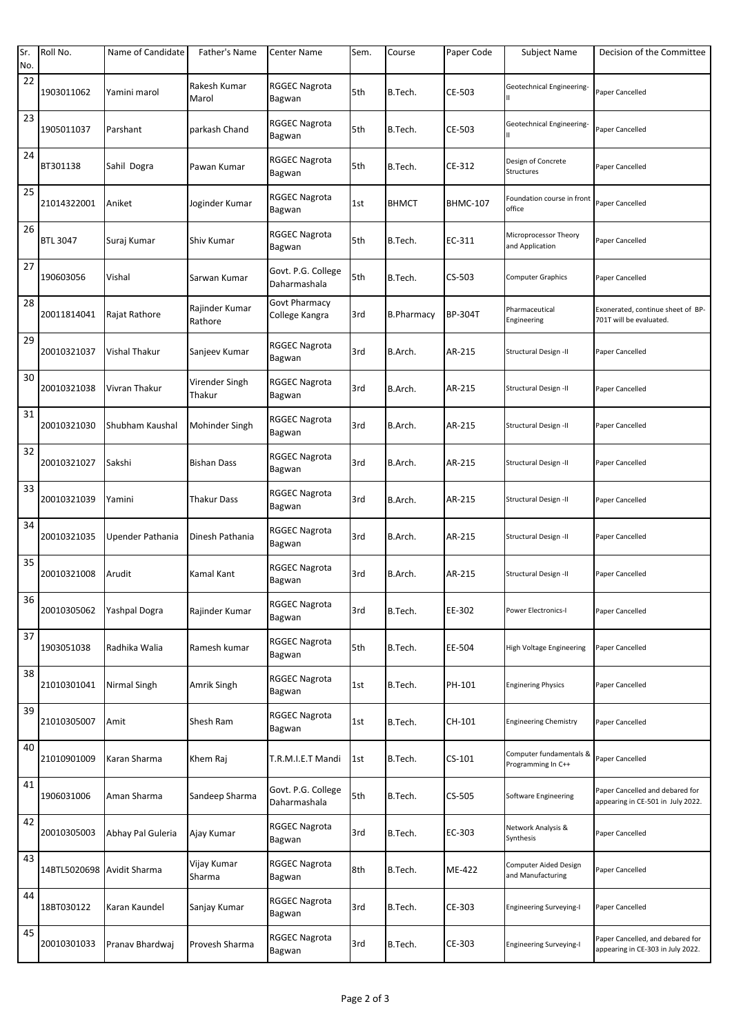| Sr. | Roll No.                   | Name of Candidate | Father's Name             | Center Name                        | Sem. | Course            | Paper Code      | <b>Subject Name</b>                           | Decision of the Committee                                             |
|-----|----------------------------|-------------------|---------------------------|------------------------------------|------|-------------------|-----------------|-----------------------------------------------|-----------------------------------------------------------------------|
| No. |                            |                   |                           |                                    |      |                   |                 |                                               |                                                                       |
| 22  | 1903011062                 | Yamini marol      | Rakesh Kumar<br>Marol     | <b>RGGEC Nagrota</b><br>Bagwan     | 5th  | B.Tech.           | CE-503          | Geotechnical Engineering-                     | Paper Cancelled                                                       |
| 23  | 1905011037                 | Parshant          | parkash Chand             | <b>RGGEC Nagrota</b><br>Bagwan     | 5th  | B.Tech.           | CE-503          | Geotechnical Engineering-<br>Ш                | Paper Cancelled                                                       |
| 24  | BT301138                   | Sahil Dogra       | Pawan Kumar               | <b>RGGEC Nagrota</b><br>Bagwan     | 5th  | B.Tech.           | CE-312          | Design of Concrete<br>Structures              | Paper Cancelled                                                       |
| 25  | 21014322001                | Aniket            | Joginder Kumar            | <b>RGGEC Nagrota</b><br>Bagwan     | 1st  | <b>BHMCT</b>      | <b>BHMC-107</b> | Foundation course in front<br>office          | Paper Cancelled                                                       |
| 26  | <b>BTL 3047</b>            | Suraj Kumar       | Shiv Kumar                | <b>RGGEC Nagrota</b><br>Bagwan     | 5th  | B.Tech.           | EC-311          | Microprocessor Theory<br>and Application      | Paper Cancelled                                                       |
| 27  | 190603056                  | Vishal            | Sarwan Kumar              | Govt. P.G. College<br>Daharmashala | 5th  | B.Tech.           | CS-503          | Computer Graphics                             | Paper Cancelled                                                       |
| 28  | 20011814041                | Rajat Rathore     | Rajinder Kumar<br>Rathore | Govt Pharmacy<br>College Kangra    | 3rd  | <b>B.Pharmacy</b> | BP-304T         | Pharmaceutical<br>Engineering                 | Exonerated, continue sheet of BP-<br>701T will be evaluated.          |
| 29  | 20010321037                | Vishal Thakur     | Sanjeev Kumar             | <b>RGGEC Nagrota</b><br>Bagwan     | 3rd  | B.Arch.           | AR-215          | Structural Design -II                         | Paper Cancelled                                                       |
| 30  | 20010321038                | Vivran Thakur     | Virender Singh<br>Thakur  | <b>RGGEC Nagrota</b><br>Bagwan     | 3rd  | B.Arch.           | AR-215          | Structural Design -II                         | Paper Cancelled                                                       |
| 31  | 20010321030                | Shubham Kaushal   | Mohinder Singh            | <b>RGGEC Nagrota</b><br>Bagwan     | 3rd  | B.Arch.           | AR-215          | Structural Design -II                         | Paper Cancelled                                                       |
| 32  | 20010321027                | Sakshi            | <b>Bishan Dass</b>        | <b>RGGEC Nagrota</b><br>Bagwan     | 3rd  | B.Arch.           | AR-215          | Structural Design -II                         | Paper Cancelled                                                       |
| 33  | 20010321039                | Yamini            | Thakur Dass               | <b>RGGEC Nagrota</b><br>Bagwan     | 3rd  | B.Arch.           | AR-215          | Structural Design -II                         | Paper Cancelled                                                       |
| 34  | 20010321035                | Upender Pathania  | Dinesh Pathania           | <b>RGGEC Nagrota</b><br>Bagwan     | 3rd  | B.Arch.           | AR-215          | <b>Structural Design -II</b>                  | Paper Cancelled                                                       |
| 35  | 20010321008                | Arudit            | Kamal Kant                | <b>RGGEC Nagrota</b><br>Bagwan     | 3rd  | B.Arch.           | AR-215          | Structural Design -II                         | Paper Cancelled                                                       |
| 36  | 20010305062                | Yashpal Dogra     | Rajinder Kumar            | <b>RGGEC Nagrota</b><br>Bagwan     | 3rd  | B.Tech.           | EE-302          | <b>Power Electronics-I</b>                    | Paper Cancelled                                                       |
| 37  | 1903051038                 | Radhika Walia     | Ramesh kumar              | <b>RGGEC Nagrota</b><br>Bagwan     | 5th  | B.Tech.           | EE-504          | High Voltage Engineering                      | Paper Cancelled                                                       |
| 38  | 21010301041                | Nirmal Singh      | Amrik Singh               | <b>RGGEC Nagrota</b><br>Bagwan     | 1st  | B.Tech.           | PH-101          | <b>Enginering Physics</b>                     | Paper Cancelled                                                       |
| 39  | 21010305007                | Amit              | Shesh Ram                 | <b>RGGEC Nagrota</b><br>Bagwan     | 1st  | B.Tech.           | CH-101          | <b>Engineering Chemistry</b>                  | Paper Cancelled                                                       |
| 40  | 21010901009                | Karan Sharma      | Khem Raj                  | T.R.M.I.E.T Mandi                  | 1st  | B.Tech.           | $CS-101$        | Computer fundamentals &<br>Programming In C++ | Paper Cancelled                                                       |
| 41  | 1906031006                 | Aman Sharma       | Sandeep Sharma            | Govt. P.G. College<br>Daharmashala | 5th  | B.Tech.           | CS-505          | Software Engineering                          | Paper Cancelled and debared for<br>appearing in CE-501 in July 2022.  |
| 42  | 20010305003                | Abhay Pal Guleria | Ajay Kumar                | <b>RGGEC Nagrota</b><br>Bagwan     | 3rd  | B.Tech.           | EC-303          | Network Analysis &<br>Synthesis               | Paper Cancelled                                                       |
| 43  | 14BTL5020698 Avidit Sharma |                   | Vijay Kumar<br>Sharma     | <b>RGGEC Nagrota</b><br>Bagwan     | 8th  | B.Tech.           | ME-422          | Computer Aided Design<br>and Manufacturing    | Paper Cancelled                                                       |
| 44  | 18BT030122                 | Karan Kaundel     | Sanjay Kumar              | <b>RGGEC Nagrota</b><br>Bagwan     | 3rd  | B.Tech.           | CE-303          | <b>Engineering Surveying-I</b>                | Paper Cancelled                                                       |
| 45  | 20010301033                | Pranav Bhardwaj   | Provesh Sharma            | <b>RGGEC Nagrota</b><br>Bagwan     | 3rd  | B.Tech.           | CE-303          | <b>Engineering Surveying-I</b>                | Paper Cancelled, and debared for<br>appearing in CE-303 in July 2022. |